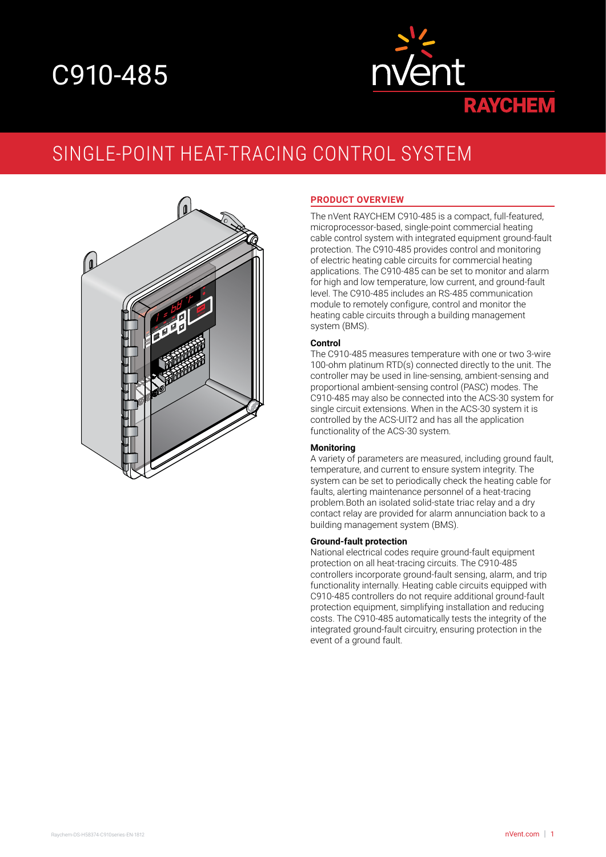# C910-485



# SINGLE-POINT HEAT-TRACING CONTROL SYSTEM



#### **PRODUCT OVERVIEW**

The nVent RAYCHEM C910-485 is a compact, full-featured, microprocessor-based, single-point commercial heating cable control system with integrated equipment ground-fault protection. The C910-485 provides control and monitoring of electric heating cable circuits for commercial heating applications. The C910-485 can be set to monitor and alarm for high and low temperature, low current, and ground-fault level. The C910-485 includes an RS-485 communication module to remotely configure, control and monitor the heating cable circuits through a building management system (BMS).

#### **Control**

The C910-485 measures temperature with one or two 3-wire 100-ohm platinum RTD(s) connected directly to the unit. The controller may be used in line-sensing, ambient-sensing and proportional ambient-sensing control (PASC) modes. The C910-485 may also be connected into the ACS-30 system for single circuit extensions. When in the ACS-30 system it is controlled by the ACS-UIT2 and has all the application functionality of the ACS-30 system.

#### **Monitoring**

A variety of parameters are measured, including ground fault, temperature, and current to ensure system integrity. The system can be set to periodically check the heating cable for faults, alerting maintenance personnel of a heat-tracing problem.Both an isolated solid-state triac relay and a dry contact relay are provided for alarm annunciation back to a building management system (BMS).

#### **Ground-fault protection**

National electrical codes require ground-fault equipment protection on all heat-tracing circuits. The C910-485 controllers incorporate ground-fault sensing, alarm, and trip functionality internally. Heating cable circuits equipped with C910-485 controllers do not require additional ground-fault protection equipment, simplifying installation and reducing costs. The C910-485 automatically tests the integrity of the integrated ground-fault circuitry, ensuring protection in the event of a ground fault.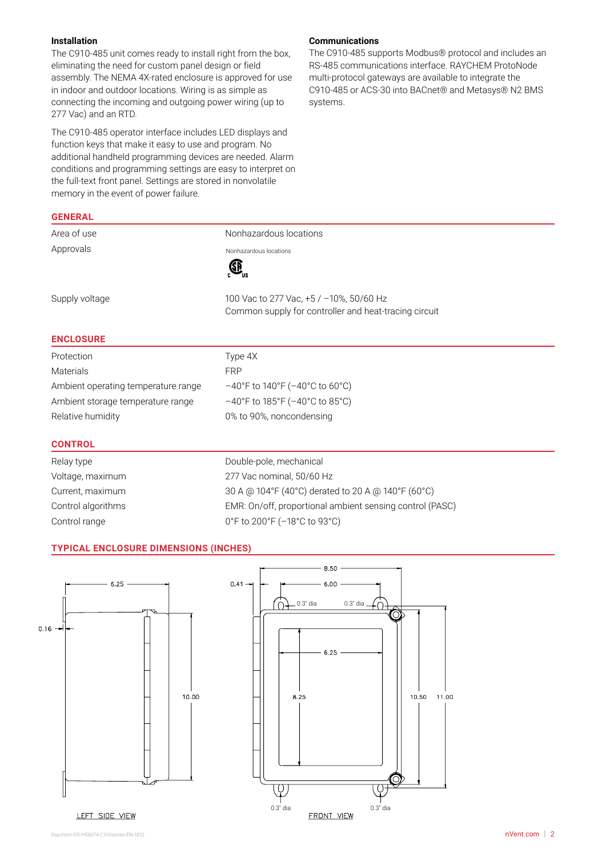### **Installation**

**GENERAL**

The C910-485 unit comes ready to install right from the box, eliminating the need for custom panel design or field assembly. The NEMA 4X-rated enclosure is approved for use in indoor and outdoor locations. Wiring is as simple as connecting the incoming and outgoing power wiring (up to 277 Vac) and an RTD.

The C910-485 operator interface includes LED displays and function keys that make it easy to use and program. No additional handheld programming devices are needed. Alarm conditions and programming settings are easy to interpret on the full-text front panel. Settings are stored in nonvolatile memory in the event of power failure.

# **Communications**

The C910-485 supports Modbus® protocol and includes an RS-485 communications interface. RAYCHEM ProtoNode multi-protocol gateways are available to integrate the C910-485 or ACS-30 into BACnet® and Metasys® N2 BMS systems.

| Area of use                         | Nonhazardous locations                                |
|-------------------------------------|-------------------------------------------------------|
| Approvals                           | Nonhazardous locations                                |
|                                     |                                                       |
| Supply voltage                      | 100 Vac to 277 Vac, +5 / −10%, 50/60 Hz               |
|                                     | Common supply for controller and heat-tracing circuit |
| <b>ENCLOSURE</b>                    |                                                       |
| Protection                          | Type 4X                                               |
| <b>Materials</b>                    | <b>FRP</b>                                            |
| Ambient operating temperature range | $-40^{\circ}$ F to 140°F ( $-40^{\circ}$ C to 60°C)   |
| Ambient storage temperature range   | $-40^{\circ}$ F to 185°F ( $-40^{\circ}$ C to 85°C)   |
| Relative humidity                   | 0% to 90%, noncondensing                              |
| <b>CONTROL</b>                      |                                                       |

| Relay type         | Double-pole, mechanical                                  |
|--------------------|----------------------------------------------------------|
| Voltage, maximum   | 277 Vac nominal, 50/60 Hz                                |
| Current, maximum   | 30 A @ 104°F (40°C) derated to 20 A @ 140°F (60°C)       |
| Control algorithms | EMR: On/off, proportional ambient sensing control (PASC) |
| Control range      | 0°F to 200°F (-18°C to 93°C)                             |
|                    |                                                          |

#### **TYPICAL ENCLOSURE DIMENSIONS (INCHES)**



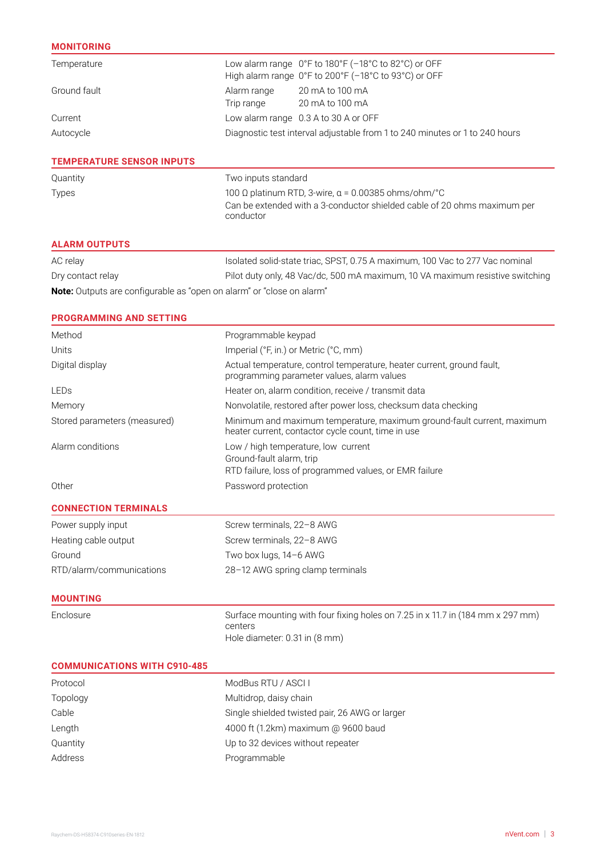### **MONITORING**

| Temperature                      | Low alarm range 0°F to 180°F (-18°C to 82°C) or OFF<br>High alarm range $0^{\circ}$ F to 200 $^{\circ}$ F (-18 $^{\circ}$ C to 93 $^{\circ}$ C) or OFF |  |  |
|----------------------------------|--------------------------------------------------------------------------------------------------------------------------------------------------------|--|--|
| Ground fault                     | 20 mA to 100 mA<br>Alarm range<br>20 mA to 100 mA<br>Trip range                                                                                        |  |  |
| Current                          | Low alarm range 0.3 A to 30 A or OFF                                                                                                                   |  |  |
| Autocycle                        | Diagnostic test interval adjustable from 1 to 240 minutes or 1 to 240 hours                                                                            |  |  |
| <b>TEMPERATURE SENSOR INPUTS</b> |                                                                                                                                                        |  |  |
| Quantity                         | Two inputs standard                                                                                                                                    |  |  |
| <b>Types</b>                     | 100 Ω platinum RTD, 3-wire, $\alpha$ = 0.00385 ohms/ohm/°C<br>Can be extended with a 3-conductor shielded cable of 20 ohms maximum per<br>conductor    |  |  |
| <b>ALARM OUTPUTS</b>             |                                                                                                                                                        |  |  |

| AC relay                                                                     | Isolated solid-state triac, SPST, 0.75 A maximum, 100 Vac to 277 Vac nominal  |
|------------------------------------------------------------------------------|-------------------------------------------------------------------------------|
| Dry contact relay                                                            | Pilot duty only, 48 Vac/dc, 500 mA maximum, 10 VA maximum resistive switching |
| <b>Note:</b> Outputs are configurable as "open on alarm" or "close on alarm" |                                                                               |

# **PROGRAMMING AND SETTING**

| Method                              | Programmable keypad                                                                                                          |  |  |  |  |
|-------------------------------------|------------------------------------------------------------------------------------------------------------------------------|--|--|--|--|
| Units                               | Imperial (°F, in.) or Metric (°C, mm)                                                                                        |  |  |  |  |
| Digital display                     | Actual temperature, control temperature, heater current, ground fault,<br>programming parameter values, alarm values         |  |  |  |  |
| LEDs                                | Heater on, alarm condition, receive / transmit data                                                                          |  |  |  |  |
| Memory                              | Nonvolatile, restored after power loss, checksum data checking                                                               |  |  |  |  |
| Stored parameters (measured)        | Minimum and maximum temperature, maximum ground-fault current, maximum<br>heater current, contactor cycle count, time in use |  |  |  |  |
| Alarm conditions                    | Low / high temperature, low current<br>Ground-fault alarm, trip<br>RTD failure, loss of programmed values, or EMR failure    |  |  |  |  |
| Other                               | Password protection                                                                                                          |  |  |  |  |
| <b>CONNECTION TERMINALS</b>         |                                                                                                                              |  |  |  |  |
| Power supply input                  | Screw terminals, 22-8 AWG                                                                                                    |  |  |  |  |
| Heating cable output                | Screw terminals, 22-8 AWG                                                                                                    |  |  |  |  |
| Ground                              | Two box lugs, 14-6 AWG                                                                                                       |  |  |  |  |
| RTD/alarm/communications            | 28-12 AWG spring clamp terminals                                                                                             |  |  |  |  |
| <b>MOUNTING</b>                     |                                                                                                                              |  |  |  |  |
| Enclosure                           | Surface mounting with four fixing holes on 7.25 in x 11.7 in (184 mm x 297 mm)<br>centers<br>Hole diameter: 0.31 in (8 mm)   |  |  |  |  |
| <b>COMMUNICATIONS WITH C910-485</b> |                                                                                                                              |  |  |  |  |
| Protocol                            | ModBus RTU / ASCI I                                                                                                          |  |  |  |  |
| Topology                            | Multidrop, daisy chain                                                                                                       |  |  |  |  |
| Cable                               | Single shielded twisted pair, 26 AWG or larger                                                                               |  |  |  |  |
| Length                              | 4000 ft (1.2km) maximum @ 9600 baud                                                                                          |  |  |  |  |